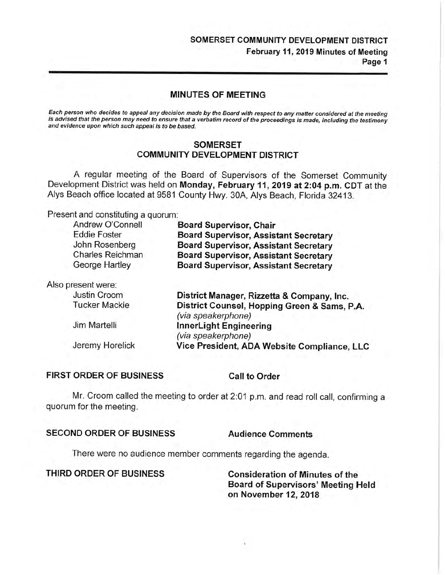### **SOMERSET COMMUNITY DEVELOPMENT DISTRICT**  February 11, 2019 Minutes of Meeting Page 1

#### **MINUTES** OF **MEETING**

Each person who decides to appeal any decision made by the Board with respect to any matter considered at the meeting is advised that the person may need to ensure that a verbatim record of the proceedings is made, including the testimony and evidence upon which such appeal is to be based.

#### **SOMERSET COMMUNITY DEVELOPMENT DISTRICT**

A regular meeting of the Board of Supervisors of the Somerset Community Development District was held on **Monday, February 11, 2019 at 2:04 p.m. CDT** at the Alys Beach office located at 9581 County Hwy. 30A, Alys Beach, Florida 32413.

Present and constituting a quorum:

| Andrew O'Connell        | <b>Board Supervisor, Chair</b>                                     |
|-------------------------|--------------------------------------------------------------------|
| <b>Eddie Foster</b>     | <b>Board Supervisor, Assistant Secretary</b>                       |
| John Rosenberg          | <b>Board Supervisor, Assistant Secretary</b>                       |
| <b>Charles Reichman</b> | <b>Board Supervisor, Assistant Secretary</b>                       |
| George Hartley          | <b>Board Supervisor, Assistant Secretary</b>                       |
| Also present were:      |                                                                    |
| Justin Croom            | District Manager, Rizzetta & Company, Inc.                         |
| <b>Tucker Mackie</b>    | District Counsel, Hopping Green & Sams, P.A.<br>(via speakerphone) |
| Jim Martelli            | InnerLight Engineering<br>(via speakerphone)                       |
| Jeremy Horelick         | Vice President, ADA Website Compliance, LLC                        |

#### **FIRST ORDER OF BUSINESS Call to Order**

Mr. Croom called the meeting to order at 2:01 p.m. and read roll call, confirming a quorum for the meeting.

#### SECOND ORDER OF BUSINESS Audience Comments

There were no audience member comments regarding the agenda.

**THIRD ORDER OF BUSINESS Consideration of Minutes of the** 

**Board of Supervisors' Meeting Held on November 12, 2018**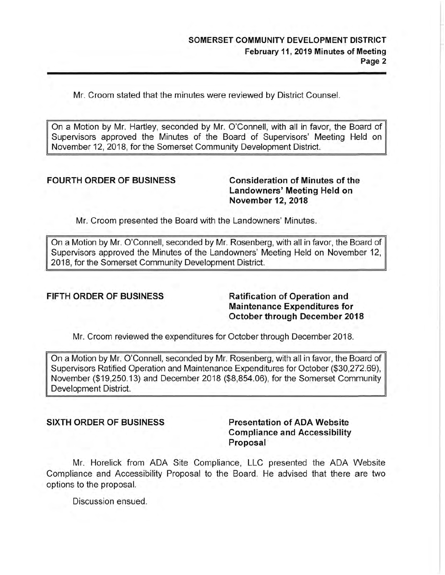Mr. Croom stated that the minutes were reviewed by District Counsel.

On a Motion by Mr. Hartley, seconded by Mr. O'Connell, with all in favor, the Board of Supervisors approved the Minutes of the Board of Supervisors' Meeting Held on November 12, 2018, for the Somerset Community Development District.

#### **FOURTH ORDER OF BUSINESS Consideration of Minutes of the**

**Landowners' Meeting Held on November 12, 2018** 

Mr. Croom presented the Board with the Landowners' Minutes.

On a Motion by Mr. O'Connell, seconded by Mr. Rosenberg, with all in favor, the Board of Supervisors approved the Minutes of the Landowners' Meeting Held on November 12, 2018, for the Somerset Community Development District.

#### **FIFTH ORDER OF BUSINESS Ratification of Operation and**

**Maintenance Expenditures for October through December 2018** 

Mr. Croom reviewed the expenditures for October through December 2018.

On a Motion by Mr. O'Connell, seconded by Mr. Rosenberg, with all in favor, the Board of Supervisors Ratified Operation and Maintenance Expenditures for October ([\\$30,272.69](https://30,272.69)), November (\$[19,250.13](https://19,250.13)) and December 2018 (\$[8,854.06](https://8,854.06)), for the Somerset Community Development District.

**SIXTH ORDER OF BUSINESS Presentation of ADA Website Compliance and Accessibility Proposal** 

Mr. Horelick from ADA Site Compliance, LLC presented the ADA Website Compliance and Accessibility Proposal to the Board. He advised that there are two options to the proposal.

Discussion ensued.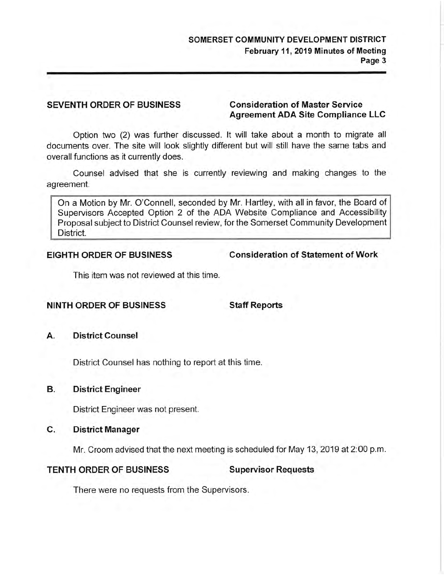#### **SEVENTH ORDER OF BUSINESS Consideration of Master Service**

# **Agreement ADA Site Compliance LLC**

Option two (2) was further discussed. It will take about a month to migrate all documents over. The site will look slightly different but will still have the same tabs and overall functions as it currently does.

Counsel advised that she is currently reviewing and making changes to the agreement.

On a Motion by Mr. O'Connell, seconded by Mr. Hartley, with all in favor, the Board of Supervisors Accepted Option 2 of the ADA Website Compliance and Accessibility Proposal subject to District Counsel review, for the Somerset Community Development District.

**EIGHTH ORDER OF BUSINESS Consideration of Statement of Work** 

This item was not reviewed at this time.

#### **NINTH ORDER OF BUSINESS Staff Reports**

**A. District Counsel** 

District Counsel has nothing to report at this time.

## **B. District Engineer**

District Engineer was not present.

### **C. District Manager**

Mr. Croom advised that the next meeting is scheduled for May 13, 2019 at 2:00 p.m.

# **TENTH ORDER OF BUSINESS Supervisor Requests**

There were no requests from the Supervisors.